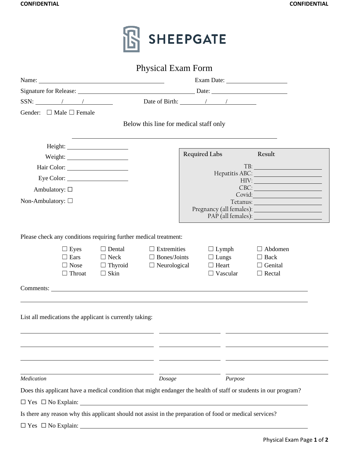

|                                                                                                                                |                                                            |                                                                            | <b>Physical Exam Form</b>                                        |                   |                                                                                                          |                                                                  |
|--------------------------------------------------------------------------------------------------------------------------------|------------------------------------------------------------|----------------------------------------------------------------------------|------------------------------------------------------------------|-------------------|----------------------------------------------------------------------------------------------------------|------------------------------------------------------------------|
| Name: $\frac{1}{2}$                                                                                                            |                                                            |                                                                            |                                                                  |                   |                                                                                                          |                                                                  |
|                                                                                                                                |                                                            |                                                                            |                                                                  |                   |                                                                                                          |                                                                  |
| $SSN:$ / /                                                                                                                     |                                                            |                                                                            |                                                                  |                   | Date of Birth: / /                                                                                       |                                                                  |
| Gender: $\Box$ Male $\Box$ Female                                                                                              |                                                            |                                                                            |                                                                  |                   |                                                                                                          |                                                                  |
|                                                                                                                                |                                                            |                                                                            | Below this line for medical staff only                           |                   |                                                                                                          |                                                                  |
|                                                                                                                                |                                                            |                                                                            |                                                                  |                   |                                                                                                          |                                                                  |
|                                                                                                                                |                                                            |                                                                            |                                                                  |                   | Required Labs                                                                                            | Result                                                           |
|                                                                                                                                |                                                            |                                                                            |                                                                  |                   |                                                                                                          | TB:<br>Hepatitis ABC:                                            |
|                                                                                                                                |                                                            |                                                                            |                                                                  |                   |                                                                                                          | HIV:                                                             |
| Ambulatory: $\square$                                                                                                          |                                                            |                                                                            |                                                                  |                   |                                                                                                          | CBC:<br>Covid:                                                   |
| Non-Ambulatory: $\square$                                                                                                      |                                                            |                                                                            |                                                                  |                   |                                                                                                          |                                                                  |
|                                                                                                                                |                                                            |                                                                            |                                                                  |                   |                                                                                                          |                                                                  |
|                                                                                                                                | $\Box$ Eyes<br>$\Box$ Ears<br>$\Box$ Nose<br>$\Box$ Throat | $\Box$ Dental<br>$\Box$ Neck<br>$\Box$ Thyroid<br>$\Box$ Skin<br>Comments: | $\Box$ Extremities<br>$\Box$ Bones/Joints<br>$\Box$ Neurological |                   | $\Box$ Lymph<br>$\Box$ Lungs<br>$\Box$ Heart<br>$\Box$ Vascular                                          | $\Box$ Abdomen<br>$\Box$ Back<br>$\Box$ Genital<br>$\Box$ Rectal |
|                                                                                                                                |                                                            | List all medications the applicant is currently taking:                    |                                                                  |                   |                                                                                                          |                                                                  |
| Medication<br>Does this applicant have a medical condition that might endanger the health of staff or students in our program? |                                                            |                                                                            |                                                                  | Dosage<br>Purpose |                                                                                                          |                                                                  |
|                                                                                                                                |                                                            |                                                                            |                                                                  |                   |                                                                                                          |                                                                  |
|                                                                                                                                |                                                            |                                                                            |                                                                  |                   | Is there any reason why this applicant should not assist in the preparation of food or medical services? |                                                                  |
| $\Box$ Yes $\Box$ No Explain:                                                                                                  |                                                            |                                                                            |                                                                  |                   |                                                                                                          |                                                                  |